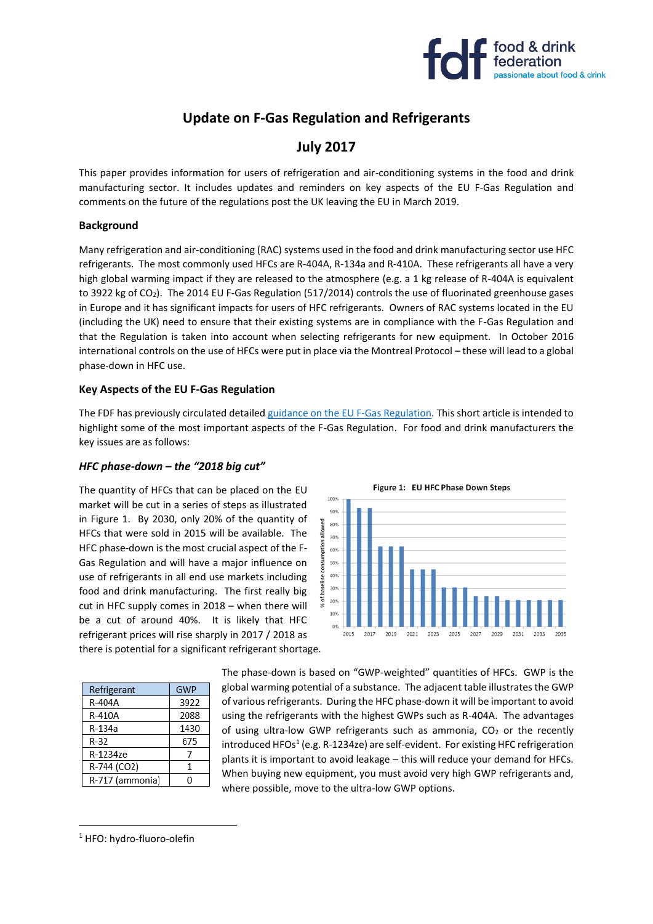

# **Update on F-Gas Regulation and Refrigerants**

## **July 2017**

This paper provides information for users of refrigeration and air-conditioning systems in the food and drink manufacturing sector. It includes updates and reminders on key aspects of the EU F-Gas Regulation and comments on the future of the regulations post the UK leaving the EU in March 2019.

#### **Background**

Many refrigeration and air-conditioning (RAC) systems used in the food and drink manufacturing sector use HFC refrigerants. The most commonly used HFCs are R-404A, R-134a and R-410A. These refrigerants all have a very high global warming impact if they are released to the atmosphere (e.g. a 1 kg release of R-404A is equivalent to 3922 kg of CO<sub>2</sub>). The 2014 EU F-Gas Regulation (517/2014) controls the use of fluorinated greenhouse gases in Europe and it has significant impacts for users of HFC refrigerants. Owners of RAC systems located in the EU (including the UK) need to ensure that their existing systems are in compliance with the F-Gas Regulation and that the Regulation is taken into account when selecting refrigerants for new equipment. In October 2016 international controls on the use of HFCs were put in place via the Montreal Protocol – these will lead to a global phase-down in HFC use.

#### **Key Aspects of the EU F-Gas Regulation**

The FDF has previously circulated detaile[d guidance on the EU F-Gas Regulation.](https://www.fdf.org.uk/publicgeneral/REI-4a-F-Gas-Guidance-Revised-August-2014-v1.pdf) This short article is intended to highlight some of the most important aspects of the F-Gas Regulation. For food and drink manufacturers the key issues are as follows:

> $AD^{\alpha}$ % of baseline 30% 20% 10%

> > 2015

#### *HFC phase-down – the "2018 big cut"*

The quantity of HFCs that can be placed on the EU market will be cut in a series of steps as illustrated in Figure 1. By 2030, only 20% of the quantity of HFCs that were sold in 2015 will be available. The HFC phase-down is the most crucial aspect of the F-Gas Regulation and will have a major influence on use of refrigerants in all end use markets including food and drink manufacturing. The first really big cut in HFC supply comes in 2018 – when there will be a cut of around 40%. It is likely that HFC refrigerant prices will rise sharply in 2017 / 2018 as there is potential for a significant refrigerant shortage.

| Refrigerant     | GWP  |
|-----------------|------|
| R-404A          | 3922 |
| R-410A          | 2088 |
| R-134a          | 1430 |
| $R-32$          | 675  |
| R-1234ze        |      |
| R-744 (CO2)     | 1    |
| R-717 (ammonia) | U    |

The phase-down is based on "GWP-weighted" quantities of HFCs. GWP is the global warming potential of a substance. The adjacent table illustrates the GWP of various refrigerants. During the HFC phase-down it will be important to avoid using the refrigerants with the highest GWPs such as R-404A. The advantages of using ultra-low GWP refrigerants such as ammonia,  $CO<sub>2</sub>$  or the recently introduced HFOs<sup>1</sup> (e.g. R-1234ze) are self-evident. For existing HFC refrigeration plants it is important to avoid leakage – this will reduce your demand for HFCs. When buying new equipment, you must avoid very high GWP refrigerants and, where possible, move to the ultra-low GWP options.



<sup>1</sup> HFO: hydro-fluoro-olefin

**.**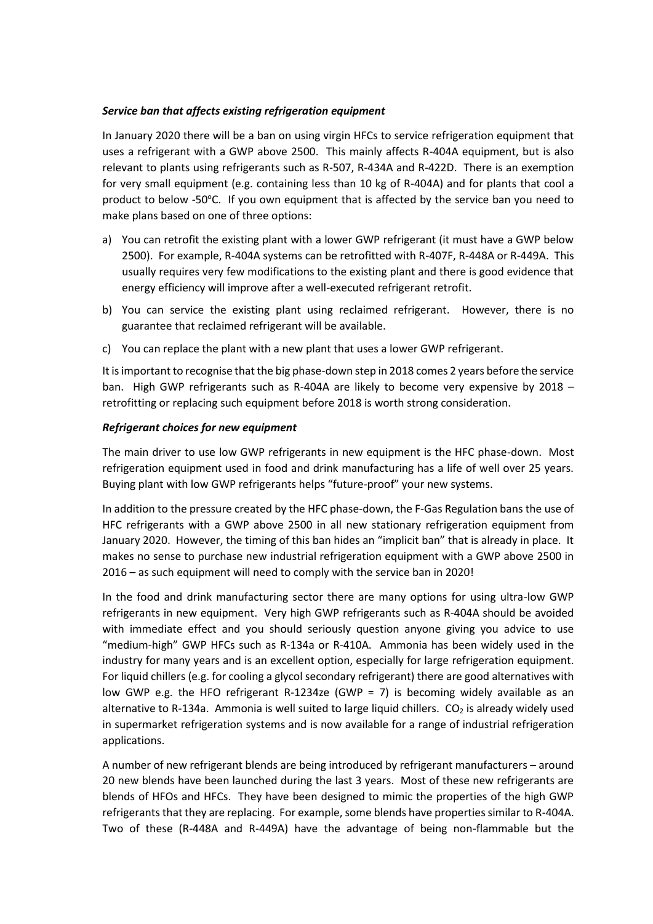## *Service ban that affects existing refrigeration equipment*

In January 2020 there will be a ban on using virgin HFCs to service refrigeration equipment that uses a refrigerant with a GWP above 2500. This mainly affects R-404A equipment, but is also relevant to plants using refrigerants such as R-507, R-434A and R-422D. There is an exemption for very small equipment (e.g. containing less than 10 kg of R-404A) and for plants that cool a product to below -50°C. If you own equipment that is affected by the service ban you need to make plans based on one of three options:

- a) You can retrofit the existing plant with a lower GWP refrigerant (it must have a GWP below 2500). For example, R-404A systems can be retrofitted with R-407F, R-448A or R-449A. This usually requires very few modifications to the existing plant and there is good evidence that energy efficiency will improve after a well-executed refrigerant retrofit.
- b) You can service the existing plant using reclaimed refrigerant. However, there is no guarantee that reclaimed refrigerant will be available.
- c) You can replace the plant with a new plant that uses a lower GWP refrigerant.

It is important to recognise that the big phase-down step in 2018 comes 2 years before the service ban. High GWP refrigerants such as R-404A are likely to become very expensive by 2018 – retrofitting or replacing such equipment before 2018 is worth strong consideration.

#### *Refrigerant choices for new equipment*

The main driver to use low GWP refrigerants in new equipment is the HFC phase-down. Most refrigeration equipment used in food and drink manufacturing has a life of well over 25 years. Buying plant with low GWP refrigerants helps "future-proof" your new systems.

In addition to the pressure created by the HFC phase-down, the F-Gas Regulation bans the use of HFC refrigerants with a GWP above 2500 in all new stationary refrigeration equipment from January 2020. However, the timing of this ban hides an "implicit ban" that is already in place. It makes no sense to purchase new industrial refrigeration equipment with a GWP above 2500 in 2016 – as such equipment will need to comply with the service ban in 2020!

In the food and drink manufacturing sector there are many options for using ultra-low GWP refrigerants in new equipment. Very high GWP refrigerants such as R-404A should be avoided with immediate effect and you should seriously question anyone giving you advice to use "medium-high" GWP HFCs such as R-134a or R-410A. Ammonia has been widely used in the industry for many years and is an excellent option, especially for large refrigeration equipment. For liquid chillers (e.g. for cooling a glycol secondary refrigerant) there are good alternatives with low GWP e.g. the HFO refrigerant R-1234ze (GWP = 7) is becoming widely available as an alternative to R-134a. Ammonia is well suited to large liquid chillers.  $CO<sub>2</sub>$  is already widely used in supermarket refrigeration systems and is now available for a range of industrial refrigeration applications.

A number of new refrigerant blends are being introduced by refrigerant manufacturers – around 20 new blends have been launched during the last 3 years. Most of these new refrigerants are blends of HFOs and HFCs. They have been designed to mimic the properties of the high GWP refrigerants that they are replacing. For example, some blends have properties similar to R-404A. Two of these (R-448A and R-449A) have the advantage of being non-flammable but the